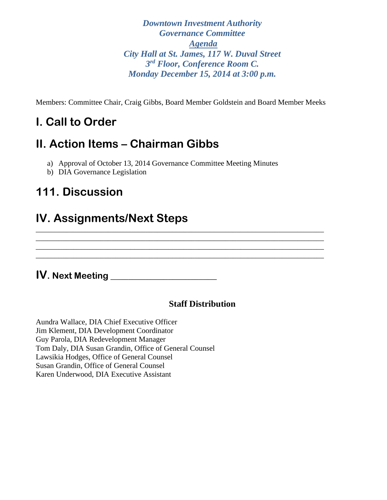*Downtown Investment Authority Governance Committee Agenda City Hall at St. James, 117 W. Duval Street 3rd Floor, Conference Room C. Monday December 15, 2014 at 3:00 p.m.* 

Members: Committee Chair, Craig Gibbs, Board Member Goldstein and Board Member Meeks

\_\_\_\_\_\_\_\_\_\_\_\_\_\_\_\_\_\_\_\_\_\_\_\_\_\_\_\_\_\_\_\_\_\_\_\_\_\_\_\_\_\_\_\_\_\_\_\_\_\_\_\_\_\_\_\_\_\_\_\_\_\_\_\_\_\_\_\_\_\_\_\_\_\_\_\_ \_\_\_\_\_\_\_\_\_\_\_\_\_\_\_\_\_\_\_\_\_\_\_\_\_\_\_\_\_\_\_\_\_\_\_\_\_\_\_\_\_\_\_\_\_\_\_\_\_\_\_\_\_\_\_\_\_\_\_\_\_\_\_\_\_\_\_\_\_\_\_\_\_\_\_\_ \_\_\_\_\_\_\_\_\_\_\_\_\_\_\_\_\_\_\_\_\_\_\_\_\_\_\_\_\_\_\_\_\_\_\_\_\_\_\_\_\_\_\_\_\_\_\_\_\_\_\_\_\_\_\_\_\_\_\_\_\_\_\_\_\_\_\_\_\_\_\_\_\_\_\_\_ \_\_\_\_\_\_\_\_\_\_\_\_\_\_\_\_\_\_\_\_\_\_\_\_\_\_\_\_\_\_\_\_\_\_\_\_\_\_\_\_\_\_\_\_\_\_\_\_\_\_\_\_\_\_\_\_\_\_\_\_\_\_\_\_\_\_\_\_\_\_\_\_\_\_\_\_

# **I. Call to Order**

## **II. Action Items – Chairman Gibbs**

- a) Approval of October 13, 2014 Governance Committee Meeting Minutes
- b) DIA Governance Legislation

## **111. Discussion**

## **IV. Assignments/Next Steps**

## **IV. Next Meeting \_\_\_\_\_\_\_\_\_\_\_\_\_\_\_\_\_\_\_\_\_\_\_\_**

### **Staff Distribution**

Aundra Wallace, DIA Chief Executive Officer Jim Klement, DIA Development Coordinator Guy Parola, DIA Redevelopment Manager Tom Daly, DIA Susan Grandin, Office of General Counsel Lawsikia Hodges, Office of General Counsel Susan Grandin, Office of General Counsel Karen Underwood, DIA Executive Assistant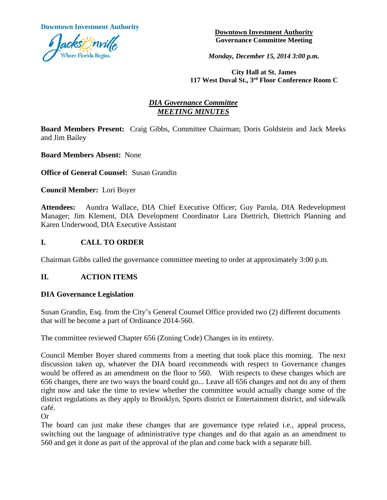**Downtown Investment Authority Downtown Investment Authority** 



**Governance Committee Meeting** 

*Monday, December 15, 2014 3:00 p.m.*

**City Hall at St. James 117 West Duval St., 3rd Floor Conference Room C**

### *DIA Governance Committee MEETING MINUTES*

**Board Members Present:** Craig Gibbs, Committee Chairman; Doris Goldstein and Jack Meeks and Jim Bailey

**Board Members Absent:** None

**Office of General Counsel:** Susan Grandin

**Council Member:** Lori Boyer

**Attendees:** Aundra Wallace, DIA Chief Executive Officer; Guy Parola, DIA Redevelopment Manager; Jim Klement, DIA Development Coordinator Lara Diettrich, Diettrich Planning and Karen Underwood, DIA Executive Assistant

### **I. CALL TO ORDER**

Chairman Gibbs called the governance committee meeting to order at approximately 3:00 p.m.

### **II. ACTION ITEMS**

#### **DIA Governance Legislation**

Susan Grandin, Esq. from the City's General Counsel Office provided two (2) different documents that will be become a part of Ordinance 2014-560.

The committee reviewed Chapter 656 (Zoning Code) Changes in its entirety.

Council Member Boyer shared comments from a meeting that took place this morning. The next discussion taken up, whatever the DIA board recommends with respect to Governance changes would be offered as an amendment on the floor to 560. With respects to these changes which are 656 changes, there are two ways the board could go... Leave all 656 changes and not do any of them right now and take the time to review whether the committee would actually change some of the district regulations as they apply to Brooklyn, Sports district or Entertainment district, and sidewalk café.

Or

The board can just make these changes that are governance type related i.e., appeal process, switching out the language of administrative type changes and do that again as an amendment to 560 and get it done as part of the approval of the plan and come back with a separate bill.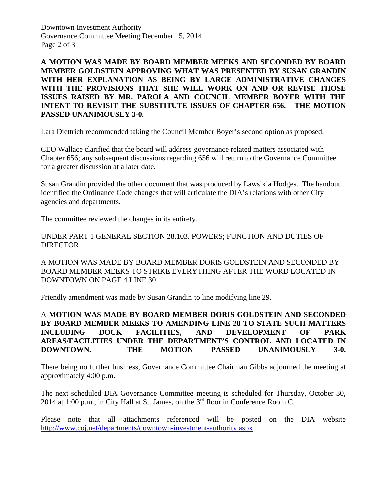Downtown Investment Authority Governance Committee Meeting December 15, 2014 Page 2 of 3

**A MOTION WAS MADE BY BOARD MEMBER MEEKS AND SECONDED BY BOARD MEMBER GOLDSTEIN APPROVING WHAT WAS PRESENTED BY SUSAN GRANDIN WITH HER EXPLANATION AS BEING BY LARGE ADMINISTRATIVE CHANGES WITH THE PROVISIONS THAT SHE WILL WORK ON AND OR REVISE THOSE ISSUES RAISED BY MR. PAROLA AND COUNCIL MEMBER BOYER WITH THE INTENT TO REVISIT THE SUBSTITUTE ISSUES OF CHAPTER 656. THE MOTION PASSED UNANIMOUSLY 3-0.**

Lara Diettrich recommended taking the Council Member Boyer's second option as proposed.

CEO Wallace clarified that the board will address governance related matters associated with Chapter 656; any subsequent discussions regarding 656 will return to the Governance Committee for a greater discussion at a later date.

Susan Grandin provided the other document that was produced by Lawsikia Hodges. The handout identified the Ordinance Code changes that will articulate the DIA's relations with other City agencies and departments.

The committee reviewed the changes in its entirety.

UNDER PART 1 GENERAL SECTION 28.103. POWERS; FUNCTION AND DUTIES OF DIRECTOR

A MOTION WAS MADE BY BOARD MEMBER DORIS GOLDSTEIN AND SECONDED BY BOARD MEMBER MEEKS TO STRIKE EVERYTHING AFTER THE WORD LOCATED IN DOWNTOWN ON PAGE 4 LINE 30

Friendly amendment was made by Susan Grandin to line modifying line 29.

A **MOTION WAS MADE BY BOARD MEMBER DORIS GOLDSTEIN AND SECONDED BY BOARD MEMBER MEEKS TO AMENDING LINE 28 TO STATE SUCH MATTERS INCLUDING DOCK FACILITIES, AND DEVELOPMENT OF PARK AREAS/FACILITIES UNDER THE DEPARTMENT'S CONTROL AND LOCATED IN DOWNTOWN. THE MOTION PASSED UNANIMOUSLY 3-0.**

There being no further business, Governance Committee Chairman Gibbs adjourned the meeting at approximately 4:00 p.m.

The next scheduled DIA Governance Committee meeting is scheduled for Thursday, October 30, 2014 at 1:00 p.m., in City Hall at St. James, on the 3<sup>rd</sup> floor in Conference Room C.

Please note that all attachments referenced will be posted on the DIA website <http://www.coj.net/departments/downtown-investment-authority.aspx>